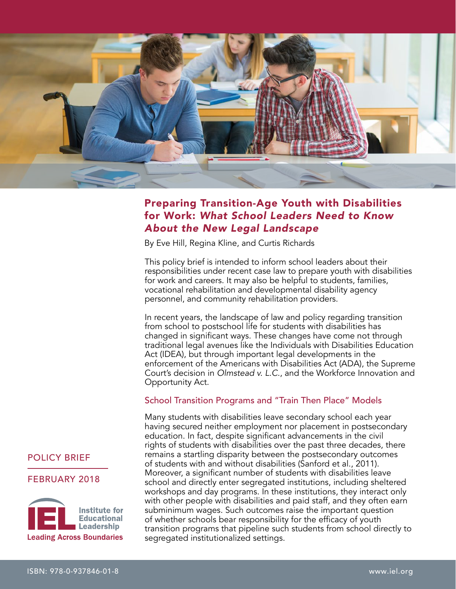

# Preparing Transition-Age Youth with Disabilities for Work: *What School Leaders Need to Know About the New Legal Landscape*

By Eve Hill, Regina Kline, and Curtis Richards

This policy brief is intended to inform school leaders about their responsibilities under recent case law to prepare youth with disabilities for work and careers. It may also be helpful to students, families, vocational rehabilitation and developmental disability agency personnel, and community rehabilitation providers.

In recent years, the landscape of law and policy regarding transition from school to postschool life for students with disabilities has changed in significant ways. These changes have come not through traditional legal avenues like the Individuals with Disabilities Education Act (IDEA), but through important legal developments in the enforcement of the Americans with Disabilities Act (ADA), the Supreme Court's decision in *Olmstead v. L.C.*, and the Workforce Innovation and Opportunity Act.

## School Transition Programs and "Train Then Place" Models

Many students with disabilities leave secondary school each year having secured neither employment nor placement in postsecondary education. In fact, despite significant advancements in the civil rights of students with disabilities over the past three decades, there remains a startling disparity between the postsecondary outcomes of students with and without disabilities (Sanford et al., 2011). Moreover, a significant number of students with disabilities leave school and directly enter segregated institutions, including sheltered workshops and day programs. In these institutions, they interact only with other people with disabilities and paid staff, and they often earn subminimum wages. Such outcomes raise the important question of whether schools bear responsibility for the efficacy of youth transition programs that pipeline such students from school directly to segregated institutionalized settings.

## POLICY BRIEF

#### FEBRUARY 2018

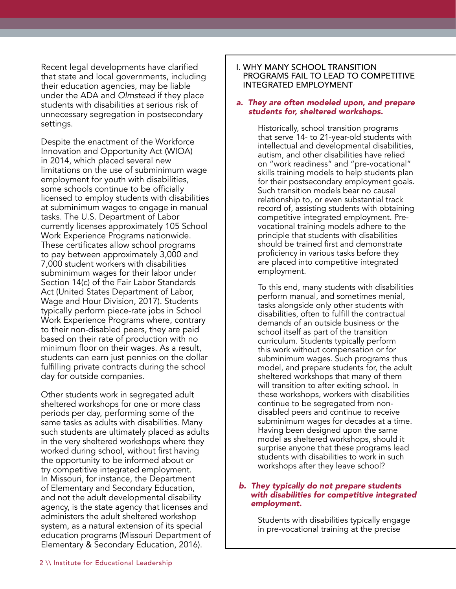Recent legal developments have clarified that state and local governments, including their education agencies, may be liable under the ADA and *Olmstead* if they place students with disabilities at serious risk of unnecessary segregation in postsecondary settings.

Despite the enactment of the Workforce Innovation and Opportunity Act (WIOA) in 2014, which placed several new limitations on the use of subminimum wage employment for youth with disabilities, some schools continue to be officially licensed to employ students with disabilities at subminimum wages to engage in manual tasks. The U.S. Department of Labor currently licenses approximately 105 School Work Experience Programs nationwide. These certificates allow school programs to pay between approximately 3,000 and 7,000 student workers with disabilities subminimum wages for their labor under Section 14(c) of the Fair Labor Standards Act (United States Department of Labor, Wage and Hour Division, 2017). Students typically perform piece-rate jobs in School Work Experience Programs where, contrary to their non-disabled peers, they are paid based on their rate of production with no minimum floor on their wages. As a result, students can earn just pennies on the dollar fulfilling private contracts during the school day for outside companies.

Other students work in segregated adult sheltered workshops for one or more class periods per day, performing some of the same tasks as adults with disabilities. Many such students are ultimately placed as adults in the very sheltered workshops where they worked during school, without first having the opportunity to be informed about or try competitive integrated employment. In Missouri, for instance, the Department of Elementary and Secondary Education, and not the adult developmental disability agency, is the state agency that licenses and administers the adult sheltered workshop system, as a natural extension of its special education programs (Missouri Department of Elementary & Secondary Education, 2016).

#### I. WHY MANY SCHOOL TRANSITION PROGRAMS FAIL TO LEAD TO COMPETITIVE INTEGRATED EMPLOYMENT

#### *a. They are often modeled upon, and prepare students for, sheltered workshops.*

Historically, school transition programs that serve 14- to 21-year-old students with intellectual and developmental disabilities, autism, and other disabilities have relied on "work readiness" and "pre-vocational" skills training models to help students plan for their postsecondary employment goals. Such transition models bear no causal relationship to, or even substantial track record of, assisting students with obtaining competitive integrated employment. Prevocational training models adhere to the principle that students with disabilities should be trained first and demonstrate proficiency in various tasks before they are placed into competitive integrated employment.

To this end, many students with disabilities perform manual, and sometimes menial, tasks alongside only other students with disabilities, often to fulfill the contractual demands of an outside business or the school itself as part of the transition curriculum. Students typically perform this work without compensation or for subminimum wages. Such programs thus model, and prepare students for, the adult sheltered workshops that many of them will transition to after exiting school. In these workshops, workers with disabilities continue to be segregated from nondisabled peers and continue to receive subminimum wages for decades at a time. Having been designed upon the same model as sheltered workshops, should it surprise anyone that these programs lead students with disabilities to work in such workshops after they leave school?

#### *b. They typically do not prepare students with disabilities for competitive integrated employment.*

Students with disabilities typically engage in pre-vocational training at the precise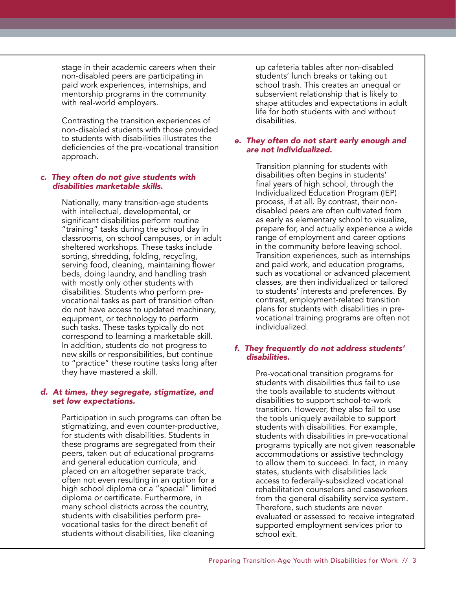stage in their academic careers when their non-disabled peers are participating in paid work experiences, internships, and mentorship programs in the community with real-world employers.

Contrasting the transition experiences of non-disabled students with those provided to students with disabilities illustrates the deficiencies of the pre-vocational transition approach.

#### *c. They often do not give students with disabilities marketable skills.*

Nationally, many transition-age students with intellectual, developmental, or significant disabilities perform routine "training" tasks during the school day in classrooms, on school campuses, or in adult sheltered workshops. These tasks include sorting, shredding, folding, recycling, serving food, cleaning, maintaining flower beds, doing laundry, and handling trash with mostly only other students with disabilities. Students who perform prevocational tasks as part of transition often do not have access to updated machinery, equipment, or technology to perform such tasks. These tasks typically do not correspond to learning a marketable skill. In addition, students do not progress to new skills or responsibilities, but continue to "practice" these routine tasks long after they have mastered a skill.

#### *d. At times, they segregate, stigmatize, and set low expectations.*

Participation in such programs can often be stigmatizing, and even counter-productive, for students with disabilities. Students in these programs are segregated from their peers, taken out of educational programs and general education curricula, and placed on an altogether separate track, often not even resulting in an option for a high school diploma or a "special" limited diploma or certificate. Furthermore, in many school districts across the country, students with disabilities perform prevocational tasks for the direct benefit of students without disabilities, like cleaning

up cafeteria tables after non-disabled students' lunch breaks or taking out school trash. This creates an unequal or subservient relationship that is likely to shape attitudes and expectations in adult life for both students with and without disabilities.

#### *e. They often do not start early enough and are not individualized.*

Transition planning for students with disabilities often begins in students' final years of high school, through the Individualized Education Program (IEP) process, if at all. By contrast, their nondisabled peers are often cultivated from as early as elementary school to visualize, prepare for, and actually experience a wide range of employment and career options in the community before leaving school. Transition experiences, such as internships and paid work, and education programs, such as vocational or advanced placement classes, are then individualized or tailored to students' interests and preferences. By contrast, employment-related transition plans for students with disabilities in prevocational training programs are often not individualized.

#### *f. They frequently do not address students' disabilities.*

Pre-vocational transition programs for students with disabilities thus fail to use the tools available to students without disabilities to support school-to-work transition. However, they also fail to use the tools uniquely available to support students with disabilities. For example, students with disabilities in pre-vocational programs typically are not given reasonable accommodations or assistive technology to allow them to succeed. In fact, in many states, students with disabilities lack access to federally-subsidized vocational rehabilitation counselors and caseworkers from the general disability service system. Therefore, such students are never evaluated or assessed to receive integrated supported employment services prior to school exit.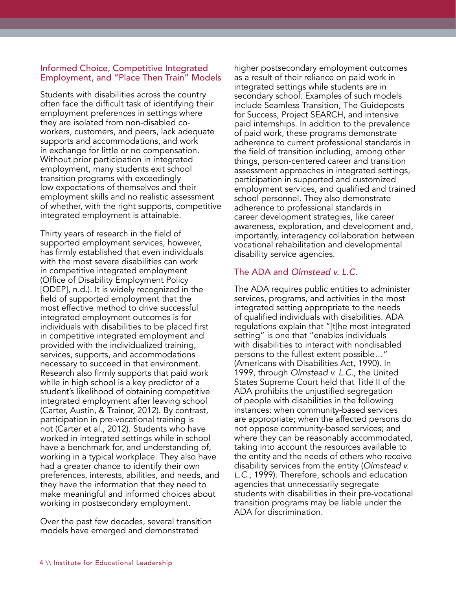### Informed Choice, Competitive Integrated Employment, and "Place Then Train" Models

Students with disabilities across the country often face the difficult task of identifying their employment preferences in settings where they are isolated from non-disabled coworkers, customers, and peers, lack adequate supports and accommodations, and work in exchange for little or no compensation. Without prior participation in integrated employment, many students exit school transition programs with exceedingly low expectations of themselves and their employment skills and no realistic assessment of whether, with the right supports, competitive integrated employment is attainable.

Thirty years of research in the field of supported employment services, however, has firmly established that even individuals with the most severe disabilities can work in competitive integrated employment (Office of Disability Employment Policy [ODEP], n.d.). It is widely recognized in the field of supported employment that the most effective method to drive successful integrated employment outcomes is for individuals with disabilities to be placed first in competitive integrated employment and provided with the individualized training, services, supports, and accommodations necessary to succeed in that environment. Research also firmly supports that paid work while in high school is a key predictor of a student's likelihood of obtaining competitive integrated employment after leaving school (Carter, Austin, & Trainor, 2012). By contrast, participation in pre-vocational training is not (Carter et al., 2012). Students who have worked in integrated settings while in school have a benchmark for, and understanding of, working in a typical workplace. They also have had a greater chance to identify their own preferences, interests, abilities, and needs, and they have the information that they need to make meaningful and informed choices about working in postsecondary employment.

Over the past few decades, several transition models have emerged and demonstrated

higher postsecondary employment outcomes as a result of their reliance on paid work in integrated settings while students are in secondary school. Examples of such models include Seamless Transition, The Guideposts for Success, Project SEARCH, and intensive paid internships. In addition to the prevalence of paid work, these programs demonstrate adherence to current professional standards in the field of transition including, among other things, person-centered career and transition assessment approaches in integrated settings, participation in supported and customized employment services, and qualified and trained school personnel. They also demonstrate adherence to professional standards in career development strategies, like career awareness, exploration, and development and, importantly, interagency collaboration between vocational rehabilitation and developmental disability service agencies.

## The ADA and *Olmstead v. L.C.*

The ADA requires public entities to administer services, programs, and activities in the most integrated setting appropriate to the needs of qualified individuals with disabilities. ADA regulations explain that "[t]he most integrated setting" is one that "enables individuals with disabilities to interact with nondisabled persons to the fullest extent possible…" (Americans with Disabilities Act, 1990). In 1999, through *Olmstead v. L.C.*, the United States Supreme Court held that Title II of the ADA prohibits the unjustified segregation of people with disabilities in the following instances: when community-based services are appropriate; when the affected persons do not oppose community-based services; and where they can be reasonably accommodated, taking into account the resources available to the entity and the needs of others who receive disability services from the entity (*Olmstead v. L.C.*, 1999). Therefore, schools and education agencies that unnecessarily segregate students with disabilities in their pre-vocational transition programs may be liable under the ADA for discrimination.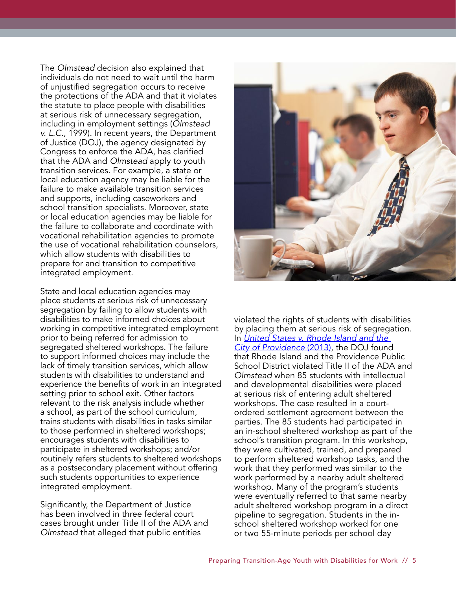The *Olmstead* decision also explained that individuals do not need to wait until the harm of unjustified segregation occurs to receive the protections of the ADA and that it violates the statute to place people with disabilities at serious risk of unnecessary segregation, including in employment settings (*Olmstead v. L.C.*, 1999). In recent years, the Department of Justice (DOJ), the agency designated by Congress to enforce the ADA, has clarified that the ADA and *Olmstead* apply to youth transition services. For example, a state or local education agency may be liable for the failure to make available transition services and supports, including caseworkers and school transition specialists. Moreover, state or local education agencies may be liable for the failure to collaborate and coordinate with vocational rehabilitation agencies to promote the use of vocational rehabilitation counselors, which allow students with disabilities to prepare for and transition to competitive integrated employment.

State and local education agencies may place students at serious risk of unnecessary segregation by failing to allow students with disabilities to make informed choices about working in competitive integrated employment prior to being referred for admission to segregated sheltered workshops. The failure to support informed choices may include the lack of timely transition services, which allow students with disabilities to understand and experience the benefits of work in an integrated setting prior to school exit. Other factors relevant to the risk analysis include whether a school, as part of the school curriculum, trains students with disabilities in tasks similar to those performed in sheltered workshops; encourages students with disabilities to participate in sheltered workshops; and/or routinely refers students to sheltered workshops as a postsecondary placement without offering such students opportunities to experience integrated employment.

Significantly, the Department of Justice has been involved in three federal court cases brought under Title II of the ADA and *Olmstead* that alleged that public entities



violated the rights of students with disabilities by placing them at serious risk of segregation. In *United States v. Rhode Island and the City of Providence* (2013), the DOJ found that Rhode Island and the Providence Public School District violated Title II of the ADA and *Olmstead* when 85 students with intellectual and developmental disabilities were placed at serious risk of entering adult sheltered workshops. The case resulted in a courtordered settlement agreement between the parties. The 85 students had participated in an in-school sheltered workshop as part of the school's transition program. In this workshop, they were cultivated, trained, and prepared to perform sheltered workshop tasks, and the work that they performed was similar to the work performed by a nearby adult sheltered workshop. Many of the program's students were eventually referred to that same nearby adult sheltered workshop program in a direct pipeline to segregation. Students in the inschool sheltered workshop worked for one or two 55-minute periods per school day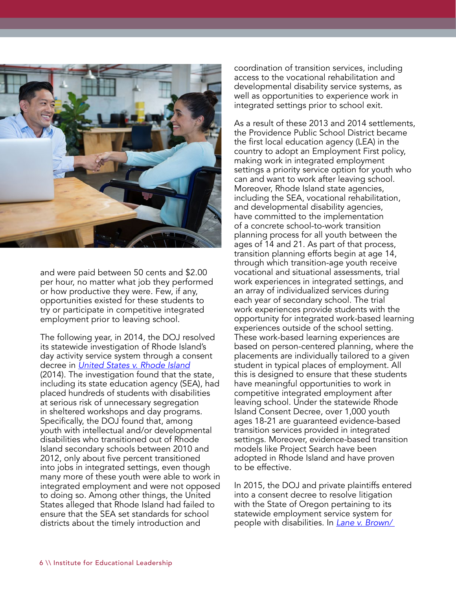

and were paid between 50 cents and \$2.00 per hour, no matter what job they performed or how productive they were. Few, if any, opportunities existed for these students to try or participate in competitive integrated employment prior to leaving school.

The following year, in 2014, the DOJ resolved its statewide investigation of Rhode Island's day activity service system through a consent decree in *United States v. Rhode Island* (2014). The investigation found that the state, including its state education agency (SEA), had placed hundreds of students with disabilities at serious risk of unnecessary segregation in sheltered workshops and day programs. Specifically, the DOJ found that, among youth with intellectual and/or developmental disabilities who transitioned out of Rhode Island secondary schools between 2010 and 2012, only about five percent transitioned into jobs in integrated settings, even though many more of these youth were able to work in integrated employment and were not opposed to doing so. Among other things, the United States alleged that Rhode Island had failed to ensure that the SEA set standards for school districts about the timely introduction and

coordination of transition services, including access to the vocational rehabilitation and developmental disability service systems, as well as opportunities to experience work in integrated settings prior to school exit.

As a result of these 2013 and 2014 settlements, the Providence Public School District became the first local education agency (LEA) in the country to adopt an Employment First policy, making work in integrated employment settings a priority service option for youth who can and want to work after leaving school. Moreover, Rhode Island state agencies, including the SEA, vocational rehabilitation, and developmental disability agencies, have committed to the implementation of a concrete school-to-work transition planning process for all youth between the ages of 14 and 21. As part of that process, transition planning efforts begin at age 14, through which transition-age youth receive vocational and situational assessments, trial work experiences in integrated settings, and an array of individualized services during each year of secondary school. The trial work experiences provide students with the opportunity for integrated work-based learning experiences outside of the school setting. These work-based learning experiences are based on person-centered planning, where the placements are individually tailored to a given student in typical places of employment. All this is designed to ensure that these students have meaningful opportunities to work in competitive integrated employment after leaving school. Under the statewide Rhode Island Consent Decree, over 1,000 youth ages 18-21 are guaranteed evidence-based transition services provided in integrated settings. Moreover, evidence-based transition models like Project Search have been adopted in Rhode Island and have proven to be effective.

In 2015, the DOJ and private plaintiffs entered into a consent decree to resolve litigation with the State of Oregon pertaining to its statewide employment service system for people with disabilities. In *Lane v. Brown/*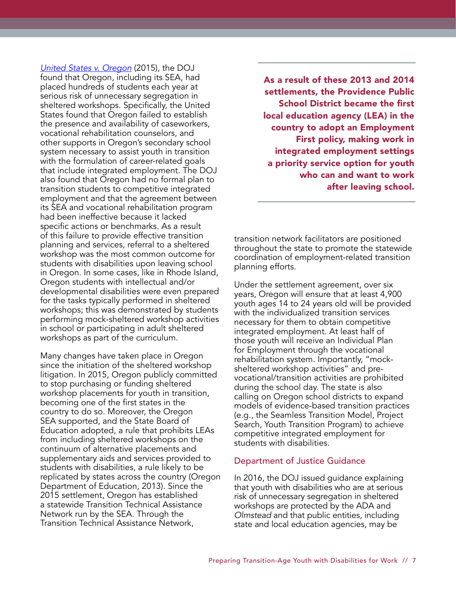*United States v. Oregon* (2015), the DOJ found that Oregon, including its SEA, had placed hundreds of students each year at serious risk of unnecessary segregation in sheltered workshops. Specifically, the United States found that Oregon failed to establish the presence and availability of caseworkers, vocational rehabilitation counselors, and other supports in Oregon's secondary school system necessary to assist youth in transition with the formulation of career-related goals that include integrated employment. The DOJ also found that Oregon had no formal plan to transition students to competitive integrated employment and that the agreement between its SEA and vocational rehabilitation program had been ineffective because it lacked specific actions or benchmarks. As a result of this failure to provide effective transition planning and services, referral to a sheltered workshop was the most common outcome for students with disabilities upon leaving school in Oregon. In some cases, like in Rhode Island, Oregon students with intellectual and/or developmental disabilities were even prepared for the tasks typically performed in sheltered workshops; this was demonstrated by students performing mock-sheltered workshop activities in school or participating in adult sheltered workshops as part of the curriculum.

Many changes have taken place in Oregon since the initiation of the sheltered workshop litigation. In 2015, Oregon publicly committed to stop purchasing or funding sheltered workshop placements for youth in transition, becoming one of the first states in the country to do so. Moreover, the Oregon SEA supported, and the State Board of Education adopted, a rule that prohibits LEAs from including sheltered workshops on the continuum of alternative placements and supplementary aids and services provided to students with disabilities, a rule likely to be replicated by states across the country (Oregon Department of Education, 2013). Since the 2015 settlement, Oregon has established a statewide Transition Technical Assistance Network run by the SEA. Through the Transition Technical Assistance Network,

As a result of these 2013 and 2014 settlements, the Providence Public School District became the first local education agency (LEA) in the country to adopt an Employment First policy, making work in integrated employment settings a priority service option for youth who can and want to work after leaving school.

transition network facilitators are positioned throughout the state to promote the statewide coordination of employment-related transition planning efforts.

Under the settlement agreement, over six years, Oregon will ensure that at least 4,900 youth ages 14 to 24 years old will be provided with the individualized transition services necessary for them to obtain competitive integrated employment. At least half of those youth will receive an Individual Plan for Employment through the vocational rehabilitation system. Importantly, "mocksheltered workshop activities" and prevocational/transition activities are prohibited during the school day. The state is also calling on Oregon school districts to expand models of evidence-based transition practices (e.g., the Seamless Transition Model, Project Search, Youth Transition Program) to achieve competitive integrated employment for students with disabilities.

#### Department of Justice Guidance

In 2016, the DOJ issued guidance explaining that youth with disabilities who are at serious risk of unnecessary segregation in sheltered workshops are protected by the ADA and *Olmstead* and that public entities, including state and local education agencies, may be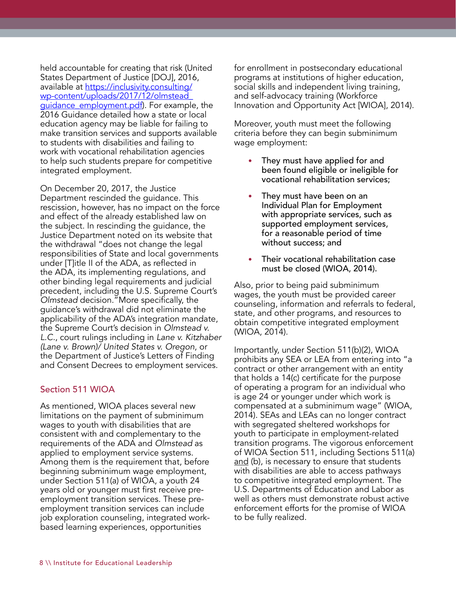held accountable for creating that risk (United States Department of Justice [DOJ], 2016, available at [https://inclusivity.consulting/](https://inclusivity.consulting/wp-content/uploads/2017/12/olmstead_guidance_employment.pdf) [wp-content/uploads/2017/12/olmstead\\_](https://inclusivity.consulting/wp-content/uploads/2017/12/olmstead_guidance_employment.pdf) [guidance\\_employment.pdf](https://inclusivity.consulting/wp-content/uploads/2017/12/olmstead_guidance_employment.pdf)). For example, the 2016 Guidance detailed how a state or local education agency may be liable for failing to make transition services and supports available to students with disabilities and failing to work with vocational rehabilitation agencies to help such students prepare for competitive integrated employment.

On December 20, 2017, the Justice Department rescinded the guidance. This rescission, however, has no impact on the force and effect of the already established law on the subject. In rescinding the guidance, the Justice Department noted on its website that the withdrawal "does not change the legal responsibilities of State and local governments under [T]itle II of the ADA, as reflected in the ADA, its implementing regulations, and other binding legal requirements and judicial precedent, including the U.S. Supreme Court's *Olmstead* decision."More specifically, the guidance's withdrawal did not eliminate the applicability of the ADA's integration mandate, the Supreme Court's decision in *Olmstead v. L.C.*, court rulings including in *Lane v. Kitzhaber (Lane v. Brown)/ United States v. Oregon*, or the Department of Justice's Letters of Finding and Consent Decrees to employment services.

## Section 511 WIOA

As mentioned, WIOA places several new limitations on the payment of subminimum wages to youth with disabilities that are consistent with and complementary to the requirements of the ADA and *Olmstead* as applied to employment service systems. Among them is the requirement that, before beginning subminimum wage employment, under Section 511(a) of WIOA, a youth 24 years old or younger must first receive preemployment transition services. These preemployment transition services can include job exploration counseling, integrated workbased learning experiences, opportunities

for enrollment in postsecondary educational programs at institutions of higher education, social skills and independent living training, and self-advocacy training (Workforce Innovation and Opportunity Act [WIOA], 2014).

Moreover, youth must meet the following criteria before they can begin subminimum wage employment:

- They must have applied for and been found eligible or ineligible for vocational rehabilitation services;
- They must have been on an Individual Plan for Employment with appropriate services, such as supported employment services, for a reasonable period of time without success; and
- Their vocational rehabilitation case must be closed (WIOA, 2014).

Also, prior to being paid subminimum wages, the youth must be provided career counseling, information and referrals to federal, state, and other programs, and resources to obtain competitive integrated employment (WIOA, 2014).

Importantly, under Section 511(b)(2), WIOA prohibits any SEA or LEA from entering into "a contract or other arrangement with an entity that holds a 14(c) certificate for the purpose of operating a program for an individual who is age 24 or younger under which work is compensated at a subminimum wage" (WIOA, 2014). SEAs and LEAs can no longer contract with segregated sheltered workshops for youth to participate in employment-related transition programs. The vigorous enforcement of WIOA Section 511, including Sections 511(a) and (b), is necessary to ensure that students with disabilities are able to access pathways to competitive integrated employment. The U.S. Departments of Education and Labor as well as others must demonstrate robust active enforcement efforts for the promise of WIOA to be fully realized.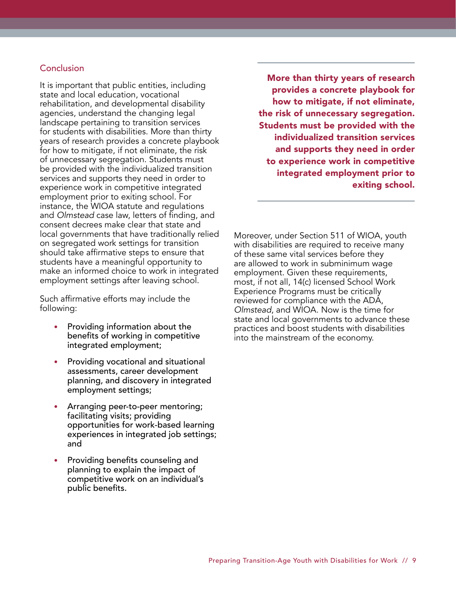## **Conclusion**

It is important that public entities, including state and local education, vocational rehabilitation, and developmental disability agencies, understand the changing legal landscape pertaining to transition services for students with disabilities. More than thirty years of research provides a concrete playbook for how to mitigate, if not eliminate, the risk of unnecessary segregation. Students must be provided with the individualized transition services and supports they need in order to experience work in competitive integrated employment prior to exiting school. For instance, the WIOA statute and regulations and *Olmstead* case law, letters of finding, and consent decrees make clear that state and local governments that have traditionally relied on segregated work settings for transition should take affirmative steps to ensure that students have a meaningful opportunity to make an informed choice to work in integrated employment settings after leaving school.

Such affirmative efforts may include the following:

- Providing information about the benefits of working in competitive integrated employment;
- Providing vocational and situational assessments, career development planning, and discovery in integrated employment settings;
- Arranging peer-to-peer mentoring; facilitating visits; providing opportunities for work-based learning experiences in integrated job settings; and
- Providing benefits counseling and planning to explain the impact of competitive work on an individual's public benefits.

More than thirty years of research provides a concrete playbook for how to mitigate, if not eliminate, the risk of unnecessary segregation. Students must be provided with the individualized transition services and supports they need in order to experience work in competitive integrated employment prior to exiting school.

Moreover, under Section 511 of WIOA, youth with disabilities are required to receive many of these same vital services before they are allowed to work in subminimum wage employment. Given these requirements, most, if not all, 14(c) licensed School Work Experience Programs must be critically reviewed for compliance with the ADA, *Olmstead*, and WIOA. Now is the time for state and local governments to advance these practices and boost students with disabilities into the mainstream of the economy.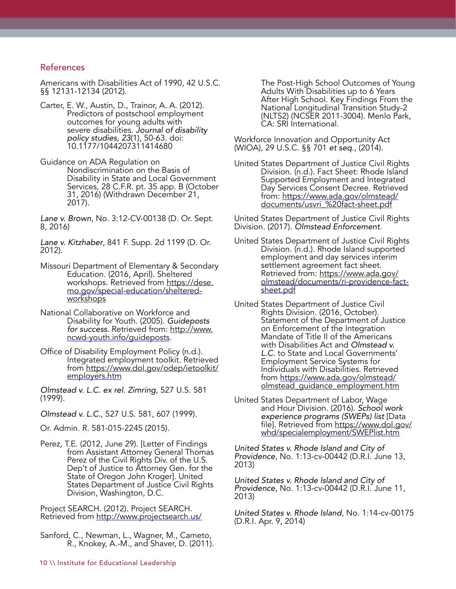#### References

Americans with Disabilities Act of 1990, 42 U.S.C. §§ 12131-12134 (2012).

- Carter, E. W., Austin, D., Trainor, A. A. (2012). Predictors of postschool employment outcomes for young adults with severe disabilities. *Journal of disability policy studies, 23*(1), 50-63. doi: 10.1177/1044207311414680
- Guidance on ADA Regulation on Nondiscrimination on the Basis of Disability in State and Local Government Services, 28 C.F.R. pt. 35 app. B (October 31, 2016) (Withdrawn December 21, 2017).

*Lane v. Brown*, No. 3:12-CV-00138 (D. Or. Sept. 8, 2016)

*Lane v. Kitzhaber*, 841 F. Supp. 2d 1199 (D. Or. 2012).

- Missouri Department of Elementary & Secondary Education. (2016, April). Sheltered workshops. Retrieved from [https://dese.](https://dese.mo.gov/special-education/sheltered-workshops) [mo.gov/special-education/sheltered](https://dese.mo.gov/special-education/sheltered-workshops)[workshops](https://dese.mo.gov/special-education/sheltered-workshops)
- National Collaborative on Workforce and Disability for Youth. (2005). *Guideposts for success*. Retrieved from: [http://www.](http://www.ncwd-youth.info/guideposts) [ncwd-youth.info/guideposts.](http://www.ncwd-youth.info/guideposts)
- Office of Disability Employment Policy (n.d.). Integrated employment toolkit. Retrieved from [https://www.dol.gov/odep/ietoolkit/](https://www.dol.gov/odep/ietoolkit/employers.htm) [employers.htm](https://www.dol.gov/odep/ietoolkit/employers.htm)

*Olmstead v. L.C. ex rel. Zimring*, 527 U.S. 581 (1999).

*Olmstead v. L.C.*, 527 U.S. 581, 607 (1999).

Or. Admin. R. 581-015-2245 (2015).

Perez, T.E. (2012, June 29). [Letter of Findings from Assistant Attorney General Thomas Perez of the Civil Rights Div. of the U.S. Dep't of Justice to Attorney Gen. for the State of Oregon John Kroger]. United States Department of Justice Civil Rights Division, Washington, D.C.

Project SEARCH. (2012). Project SEARCH. Retrieved from <http://www.projectsearch.us/>

Sanford, C., Newman, L., Wagner, M., Cameto, R., Knokey, A.-M., and Shaver, D. (2011). The Post-High School Outcomes of Young Adults With Disabilities up to 6 Years After High School. Key Findings From the National Longitudinal Transition Study-2 (NLTS2) (NCSER 2011-3004). Menlo Park, CA: SRI International.

Workforce Innovation and Opportunity Act (WIOA), 29 U.S.C. §§ 701 *et seq*., (2014).

United States Department of Justice Civil Rights Division. (n.d.). Fact Sheet: Rhode Island Supported Employment and Integrated Day Services Consent Decree. Retrieved from: [https://www.ada.gov/olmstead/](https://www.ada.gov/olmstead/documents/usvri_%20fact-sheet.pdf) [documents/usvri\\_%20fact-sheet.pdf](https://www.ada.gov/olmstead/documents/usvri_%20fact-sheet.pdf)

United States Department of Justice Civil Rights Division. (2017). *Olmstead Enforcement*.

- United States Department of Justice Civil Rights Division. (n.d.). Rhode Island supported employment and day services interim settlement agreement fact sheet. Retrieved from: [https://www.ada.gov/](https://www.ada.gov/olmstead/documents/ri-providence-fact-sheet.pdf) [olmstead/documents/ri-providence-fact](https://www.ada.gov/olmstead/documents/ri-providence-fact-sheet.pdf)[sheet.pdf](https://www.ada.gov/olmstead/documents/ri-providence-fact-sheet.pdf)
- United States Department of Justice Civil Rights Division. (2016, October). Statement of the Department of Justice on Enforcement of the Integration Mandate of Title II of the Americans with Disabilities Act and *Olmstead v. L.C.* to State and Local Governments' Employment Service Systems for Individuals with Disabilities. Retrieved from [https://www.ada.gov/olmstead/](https://www.ada.gov/olmstead/olmstead_guidance_employment.htm) [olmstead\\_guidance\\_employment.htm](https://www.ada.gov/olmstead/olmstead_guidance_employment.htm)
- United States Department of Labor, Wage and Hour Division. (2016). *School work experience programs (SWEPs) list* [Data file]*.* Retrieved from [https://www.dol.gov/](https://www.dol.gov/whd/specialemployment/SWEPlist.htm) [whd/specialemployment/SWEPlist.htm](https://www.dol.gov/whd/specialemployment/SWEPlist.htm)

*United States v. Rhode Island and City of Providence*, No. 1:13-cv-00442 (D.R.I. June 13, 2013)

*United States v. Rhode Island and City of Providence*, No. 1:13-cv-00442 (D.R.I. June 11, 2013)

*United States v. Rhode Island*, No. 1:14-cv-00175 (D.R.I. Apr. 9, 2014)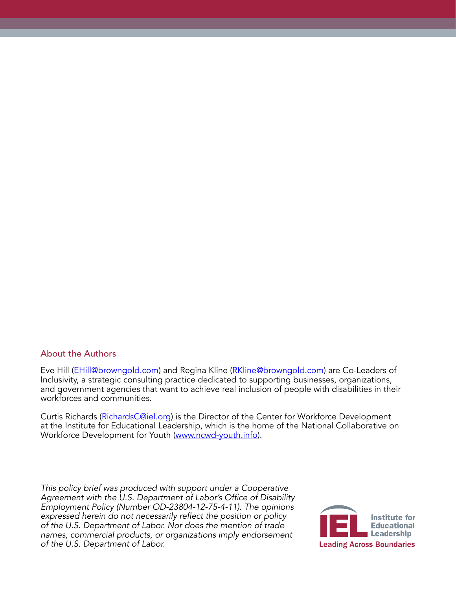#### About the Authors

Eve Hill [\(EHill@browngold.com\)](mailto:EHill%40browngold.com?subject=) and Regina Kline [\(RKline@browngold.com\)](mailto:RKline%40browngold.com?subject=) are Co-Leaders of Inclusivity, a strategic consulting practice dedicated to supporting businesses, organizations, and government agencies that want to achieve real inclusion of people with disabilities in their workforces and communities.

Curtis Richards ([RichardsC@iel.org\)](mailto:RichardsC%40iel.org?subject=) is the Director of the Center for Workforce Development at the Institute for Educational Leadership, which is the home of the National Collaborative on Workforce Development for Youth ([www.ncwd-youth.info\)](http://www.ncwd-youth.info).

*This policy brief was produced with support under a Cooperative*  Agreement with the U.S. Department of Labor's Office of Disability *Employment Policy (Number OD-23804-12-75-4-11). The opinions*  expressed herein do not necessarily reflect the position or policy *of the U.S. Department of Labor. Nor does the mention of trade names, commercial products, or organizations imply endorsement of the U.S. Department of Labor.*